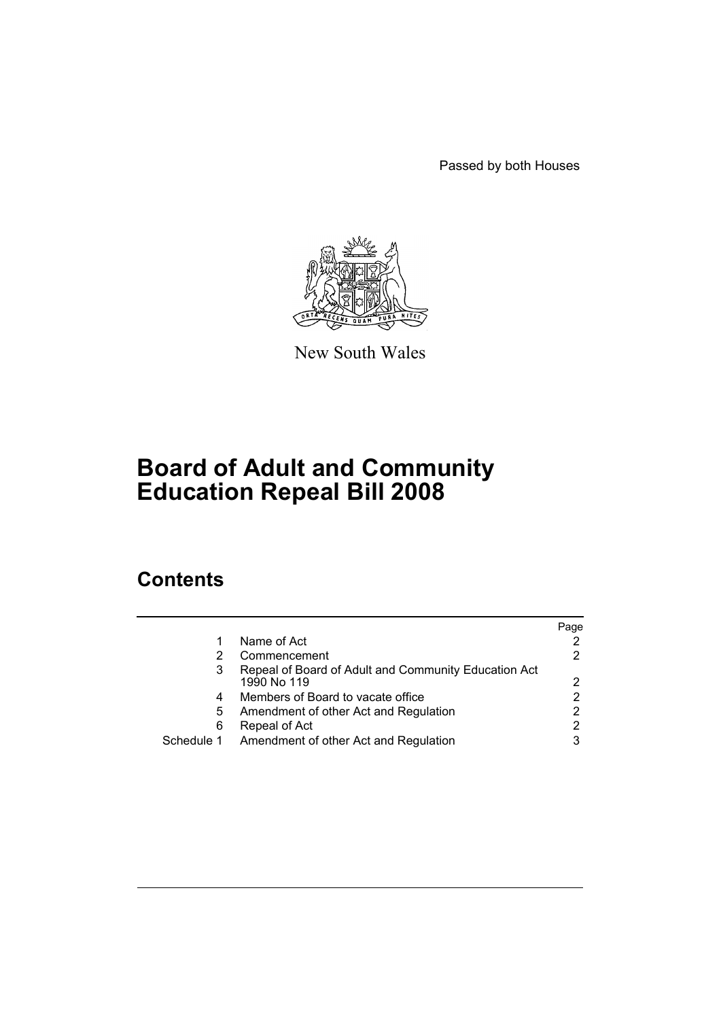Passed by both Houses



New South Wales

# **Board of Adult and Community Education Repeal Bill 2008**

## **Contents**

|   |                                                                     | Page |
|---|---------------------------------------------------------------------|------|
|   | Name of Act                                                         |      |
|   | Commencement                                                        |      |
| 3 | Repeal of Board of Adult and Community Education Act<br>1990 No 119 | 2    |
| 4 | Members of Board to vacate office                                   |      |
| 5 | Amendment of other Act and Regulation                               |      |
| 6 | Repeal of Act                                                       |      |
|   | Schedule 1 Amendment of other Act and Regulation                    |      |
|   |                                                                     |      |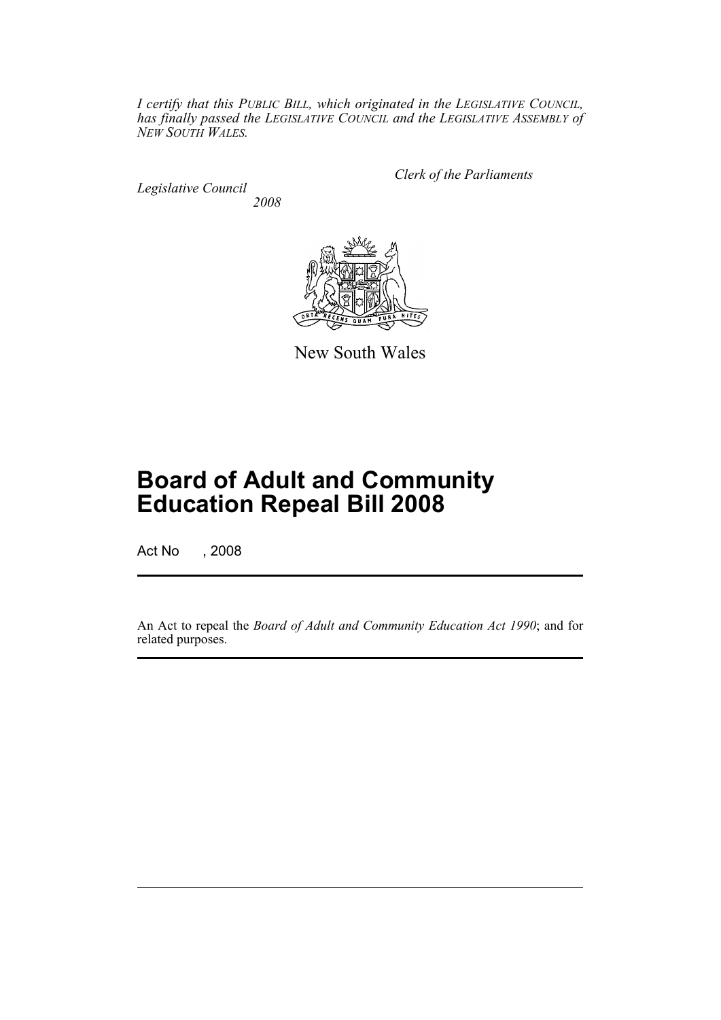*I certify that this PUBLIC BILL, which originated in the LEGISLATIVE COUNCIL, has finally passed the LEGISLATIVE COUNCIL and the LEGISLATIVE ASSEMBLY of NEW SOUTH WALES.*

*Legislative Council 2008* *Clerk of the Parliaments*



New South Wales

# **Board of Adult and Community Education Repeal Bill 2008**

Act No , 2008

An Act to repeal the *Board of Adult and Community Education Act 1990*; and for related purposes.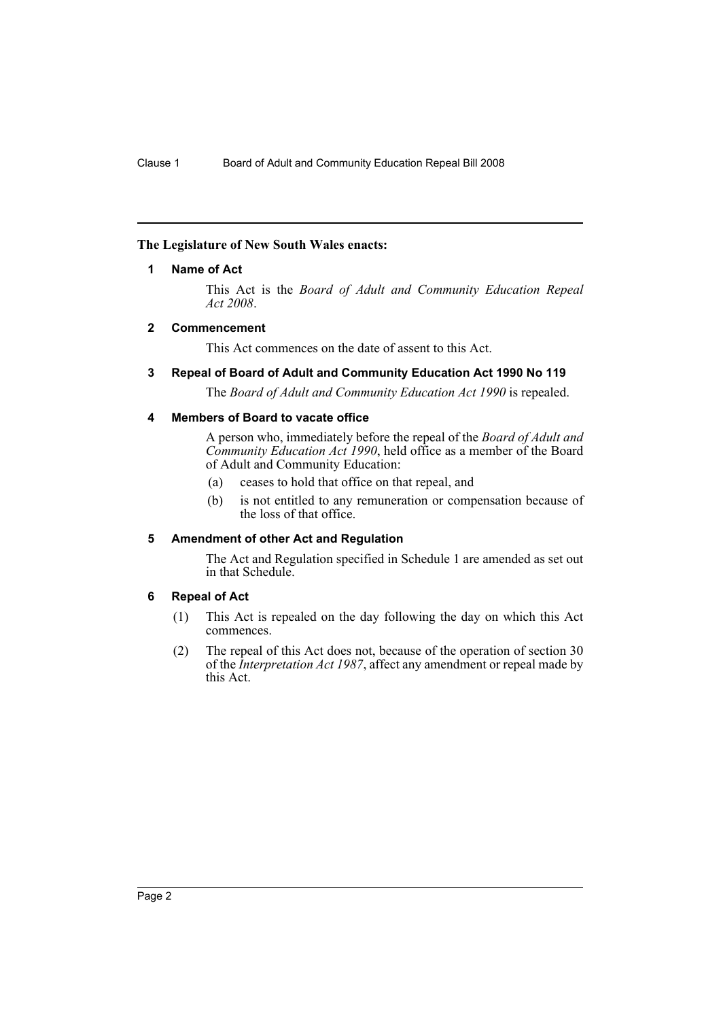#### <span id="page-2-0"></span>**The Legislature of New South Wales enacts:**

#### **1 Name of Act**

This Act is the *Board of Adult and Community Education Repeal Act 2008*.

#### <span id="page-2-1"></span>**2 Commencement**

This Act commences on the date of assent to this Act.

#### <span id="page-2-2"></span>**3 Repeal of Board of Adult and Community Education Act 1990 No 119**

The *Board of Adult and Community Education Act 1990* is repealed.

#### <span id="page-2-3"></span>**4 Members of Board to vacate office**

A person who, immediately before the repeal of the *Board of Adult and Community Education Act 1990*, held office as a member of the Board of Adult and Community Education:

- (a) ceases to hold that office on that repeal, and
- (b) is not entitled to any remuneration or compensation because of the loss of that office.

#### <span id="page-2-4"></span>**5 Amendment of other Act and Regulation**

The Act and Regulation specified in Schedule 1 are amended as set out in that Schedule.

#### <span id="page-2-5"></span>**6 Repeal of Act**

- (1) This Act is repealed on the day following the day on which this Act commences.
- (2) The repeal of this Act does not, because of the operation of section 30 of the *Interpretation Act 1987*, affect any amendment or repeal made by this Act.